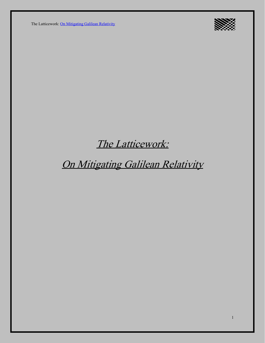

## The Latticework:

# On Mitigating Galilean Relativity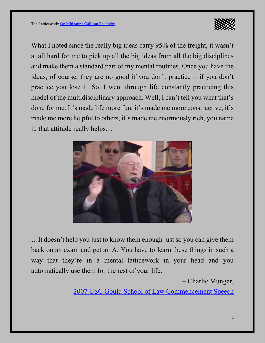

What I noted since the really big ideas carry 95% of the freight, it wasn't at all hard for me to pick up all the big ideas from all the big disciplines and make them a standard part of my mental routines. Once you have the ideas, of course, they are no good if you don't practice – if you don't practice you lose it. So, I went through life constantly practicing this model of the multidisciplinary approach. Well, I can't tell you what that's done for me. It's made life more fun, it's made me more constructive, it's made me more helpful to others, it's made me enormously rich, you name it, that attitude really helps…



…It doesn't help you just to know them enough just so you can give them back on an exam and get an A. You have to learn these things in such a way that they're in a mental latticework in your head and you automatically use them for the rest of your life.

– Charlie Munger,

[2007 USC Gould School of Law Commencement Speech](https://www.youtube.com/watch?v=5U0TE4oqj24)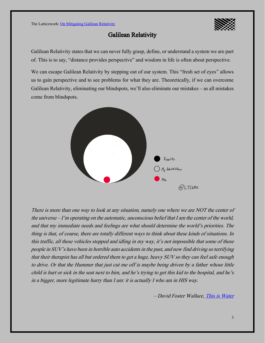

### Galilean Relativity

Galilean Relativity states that we can never fully grasp, define, or understand a system we are part of. This is to say, "distance provides perspective" and wisdom in life is often about perspective.

We can escape Galilean Relativity by stepping out of our system. This "fresh set of eyes" allows us to gain perspective and to see problems for what they are. Theoretically, if we can overcome Galilean Relativity, eliminating our blindspots, we'll also eliminate our mistakes–as all mistakes come from blindspots.



There is more than one way to look at any situation, namely one where we are NOT the center of the universe –I'm operating on the automatic, unconscious belief that I am the center of the world, and that my immediate needs and feelings are what should determine the world's priorities. The thing is that, of course, there are totally different ways to think about these kinds of situations. In this traffic, all these vehicles stopped and idling in my way, it's not impossible that some of these people in SUV's have been in horrible auto accidents in the past, and now find driving so terrifying that their therapist has all but ordered them to get a huge, heavy SUV so they can feel safe enough to drive. Or that the Hummer that just cut me off is maybe being driven by a father whose little child is hurt or sick in the seat next to him, and he's trying to get this kid to the hospital, and he's in a bigger, more legitimate hurry than I am: it is actually I who am in HIS way.

David Foster Wallace, [This is Water](https://www.youtube.com/watch?v=PhhC_N6Bm_s)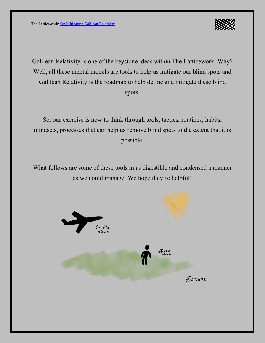

Galilean Relativity is one of the keystone ideas within The Latticework. Why? Well, all these mental models are tools to help us mitigate our blind spots and Galilean Relativity is the roadmap to help define and mitigate these blind spots.

So, our exercise is now to think through tools, tactics, routines, habits, mindsets, processes that can help us remove blind spots to the extent that it is possible.

What follows are some of these tools in as digestible and condensed a manner as we could manage. We hope they're helpful!

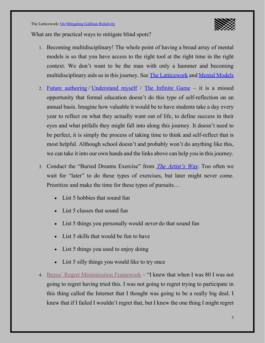

What are the practical ways to mitigate blind spots?

- 1. Becoming multidisciplinary! The whole point of having a broad array of mental models is so that you have access to the right tool at the right time in the right context. We don't want to be the man with only a hammer and becoming multidisciplinary aids us in this journey. See **The Latticework** and **Mental Models**
- 2. [Future authoring](https://www.selfauthoring.com/future-authoring) / [Understand myself](https://www.understandmyself.com/) / [The Infinite Game](https://blas.com/the-infinite-game) it is a missed opportunity that formal education doesn't do this type of self-reflection on an annual basis. Imagine how valuable it would be to have students take a day every year to reflect on what they actually want out of life, to define success in their eyes and what pitfalls they might fall into along this journey. It doesn't need to be perfect, it is simply the process of taking time to think and self-reflect that is most helpful. Although school doesn't and probably won't do anything like this, we can take it into our own hands and the links above can help you in this journey.
- 3. Conduct the "Buried Dreams Exercise" from *[The Artist's Way](https://blas.com/the-artists-way/)*. Too often we wait for "later" to do these types of exercises, but later might never come. Prioritize and make the time for these types of pursuits…
	- List 5 hobbies that sound fun
	- List 5 classes that sound fun
	- List 5 things you personally would *never* do that sound fun
	- List 5 skills that would be fun to have
	- List 5 things you used to enjoy doing
	- List 5 silly things you would like to try once
- 4. Bezos' [Regret Minimization Framework](https://www.youtube.com/watch?v=jwG_qR6XmDQ) "I knew that when I was 80 I was not going to regret having tried this. I was not going to regret trying to participate in this thing called the Internet that I thought was going to be a really big deal. I knew that if I failed I wouldn't regret that, but I knew the one thing I might regret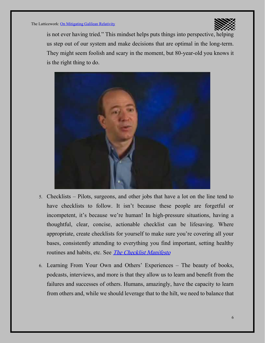

is not ever having tried." This mindset helps puts things into perspective, helping us step out of our system and make decisions that are optimal in the long-term. They might seem foolish and scary in the moment, but 80-year-old you knows it is the right thing to do.



- 5. Checklists Pilots, surgeons, and other jobs that have a lot on the line tend to have checklists to follow. It isn't because these people are forgetful or incompetent, it's because we're human! In high-pressure situations, having a thoughtful, clear, concise, actionable checklist can be lifesaving. Where appropriate, create checklists for yourself to make sure you're covering all your bases, consistently attending to everything you find important, setting healthy routines and habits, etc. See *[The Checklist Manifesto](https://blas.com/the-checklist-manifesto/)*
- 6. Learning From Your Own and Others' Experiences The beauty of books, podcasts, interviews, and more is that they allow us to learn and benefit from the failures and successes of others. Humans, amazingly, have the capacity to learn from others and, while we should leverage that to the hilt, we need to balance that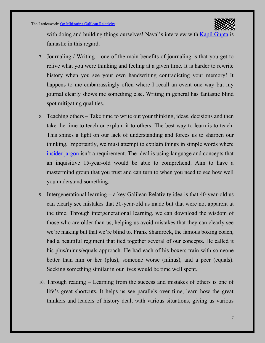

with doing and building things ourselves! Naval's interview with **[Kapil Gupta](https://nav.al/kapil)** is fantastic in this regard.

- 7. Journaling / Writing one of the main benefits of journaling is that you get to relive what you were thinking and feeling at a given time. It is harder to rewrite history when you see your own handwriting contradicting your memory! It happens to me embarrassingly often where I recall an event one way but my journal clearly shows me something else. Writing in general has fantastic blind spot mitigating qualities.
- 8. Teaching others– Take time to write out your thinking, ideas, decisions and then take the time to teach or explain it to others. The best way to learn is to teach. This shines a light on our lack of understanding and forces us to sharpen our thinking. Importantly, we must attempt to explain things in simple words where [insider jargon](https://blas.com/learning-to-learn) isn't a requirement. The ideal is using language and concepts that an inquisitive 15-year-old would be able to comprehend. Aim to have a mastermind group that you trust and can turn to when you need to see how well you understand something.
- 9. Intergenerational learning a key Galilean Relativity idea is that 40-year-old us can clearly see mistakes that 30-year-old us made but that were not apparent at the time. Through intergenerational learning, we can download the wisdom of those who are older than us, helping us avoid mistakes that they can clearly see we're making but that we're blind to. Frank Shamrock, the famous boxing coach, had a beautiful regiment that tied together several of our concepts. He called it his plus/minus/equals approach. He had each of his boxers train with someone better than him or her (plus), someone worse (minus), and a peer (equals). Seeking something similar in our lives would be time well spent.
- 10. Through reading Learning from the success and mistakes of others is one of life's great shortcuts. It helps us see parallels over time, learn how the great thinkers and leaders of history dealt with various situations, giving us various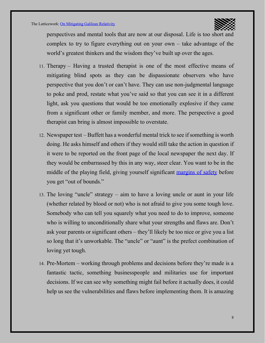

perspectives and mental tools that are now at our disposal. Life is too short and complex to try to figure everything out on your own – take advantage of the world's greatest thinkers and the wisdom they've built up over the ages.

- 11. Therapy Having a trusted therapist is one of the most effective means of mitigating blind spots as they can be dispassionate observers who have perspective that you don't or can't have. They can use non-judgmental language to poke and prod, restate what you've said so that you can see it in a different light, ask you questions that would be too emotionally explosive if they came from a significant other or family member, and more. The perspective a good therapist can bring is almost impossible to overstate.
- 12. Newspaper test Buffett has a wonderful mental trick to see if something is worth doing. He asks himself and others if they would still take the action in question if it were to be reported on the front page of the local newspaper the next day. If they would be embarrassed by this in any way, steer clear. You want to be in the middle of the playing field, giving yourself significant [margins of safety](https://ltcwrk.com/engineering/margin-of-safety/) before you get "out of bounds."
- 13. The loving "uncle" strategy aim to have a loving uncle or aunt in your life (whether related by blood or not) who is not afraid to give you some tough love. Somebody who can tell you squarely what you need to do to improve, someone who is willing to unconditionally share what your strengths and flaws are. Don't ask your parents or significant others – they'll likely be too nice or give you a list so long that it's unworkable. The "uncle" or "aunt" is the prefect combination of loving yet tough.
- 14. Pre-Mortem working through problems and decisions before they're made is a fantastic tactic, something businesspeople and militaries use for important decisions. If we can see why something might fail before it actually does, it could help us see the vulnerabilities and flaws before implementing them. It is amazing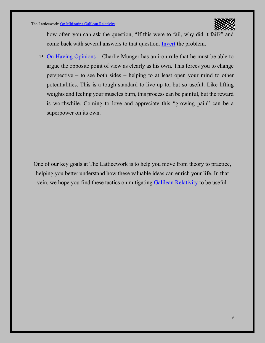

how often you can ask the question, "If this were to fail, why did it fail?" and come back with several answers to that question. [Invert](https://ltcwrk.com/mathematics/inversion/) the problem.

15. [On Having Opinions](https://ltcwrk.com/worldly-wisdom/on-having-opinions/) – Charlie Munger has an iron rule that he must be able to argue the opposite point of view as clearly as his own. This forces you to change perspective – to see both sides – helping to at least open your mind to other potentialities. This is a tough standard to live up to, but so useful. Like lifting weights and feeling your muscles burn, this process can be painful, but the reward is worthwhile. Coming to love and appreciate this "growing pain" can be a superpower on its own.

One of our key goals at The Latticework is to help you move from theory to practice, helping you better understand how these valuable ideas can enrich your life. In that vein, we hope you find these tactics on mitigating [Galilean Relativity](https://ltcwrk.com/galilean-relativity/) to be useful.